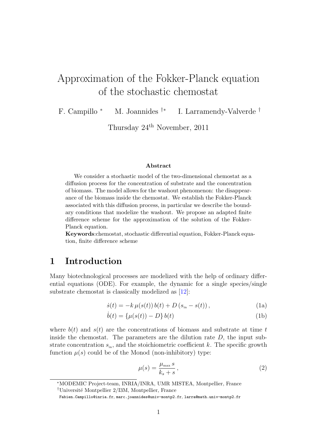# Approximation of the Fokker-Planck equation of the stochastic chemostat

F. Campillo <sup>∗</sup> M. Joannides †∗ I. Larramendy-Valverde †

Thursday 24th November, 2011

#### Abstract

We consider a stochastic model of the two-dimensional chemostat as a diffusion process for the concentration of substrate and the concentration of biomass. The model allows for the washout phenomenon: the disappearance of the biomass inside the chemostat. We establish the Fokker-Planck associated with this diffusion process, in particular we describe the boundary conditions that modelize the washout. We propose an adapted finite difference scheme for the approximation of the solution of the Fokker-Planck equation.

Keywords:chemostat, stochastic differential equation, Fokker-Planck equation, finite difference scheme

## 1 Introduction

Many biotechnological processes are modelized with the help of ordinary differential equations (ODE). For example, the dynamic for a single species/single substrate chemostat is classically modelized as [\[12\]](#page-16-0):

<span id="page-0-0"></span>
$$
\dot{s}(t) = -k \,\mu(s(t)) \, b(t) + D \left( s_{\rm in} - s(t) \right),\tag{1a}
$$

$$
\dot{b}(t) = \{\mu(s(t)) - D\} b(t)
$$
\n(1b)

where  $b(t)$  and  $s(t)$  are the concentrations of biomass and substrate at time t inside the chemostat. The parameters are the dilution rate  $D$ , the input substrate concentration  $s_{\text{in}}$ , and the stoichiometric coefficient k. The specific growth function  $\mu(s)$  could be of the Monod (non-inhibitory) type:

<span id="page-0-1"></span>
$$
\mu(s) = \frac{\mu_{\max} s}{k_s + s},\tag{2}
$$

<sup>∗</sup>MODEMIC Project-team, INRIA/INRA, UMR MISTEA, Montpellier, France

<sup>&</sup>lt;sup>†</sup>Université Montpellier  $2/13M$ , Montpellier, France

Fabien.Campillo@inria.fr, marc.joannides@univ-montp2.fr, larra@math.univ-montp2.fr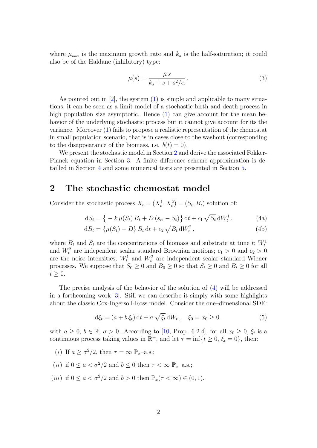where  $\mu_{\text{max}}$  is the maximum growth rate and  $k_s$  is the half-saturation; it could also be of the Haldane (inhibitory) type:

<span id="page-1-4"></span>
$$
\mu(s) = \frac{\bar{\mu}s}{k_s + s + s^2/\alpha}.
$$
\n(3)

As pointed out in  $[2]$ , the system  $(1)$  is simple and applicable to many situations, it can be seen as a limit model of a stochastic birth and death process in high population size asymptotic. Hence [\(1\)](#page-0-0) can give account for the mean behavior of the underlying stochastic process but it cannot give account for its the variance. Moreover [\(1\)](#page-0-0) fails to propose a realistic representation of the chemostat in small population scenario, that is in cases close to the washout (corresponding to the disappearance of the biomass, i.e.  $b(t) = 0$ .

We present the stochastic model in Section [2](#page-1-0) and derive the associated Fokker-Planck equation in Section [3.](#page-2-0) A finite difference scheme approximation is detailled in Section [4](#page-6-0) and some numerical tests are presented in Section [5.](#page-7-0)

### <span id="page-1-0"></span>2 The stochastic chemostat model

Consider the stochastic process  $X_t = (X_t^1, X_t^2) = (S_t, B_t)$  solution of:

<span id="page-1-3"></span><span id="page-1-2"></span><span id="page-1-1"></span>
$$
dS_t = \left\{ -k \,\mu(S_t) \, B_t + D \left( s_{\rm in} - S_t \right) \right\} dt + c_1 \sqrt{S_t} \, dW_t^1 \,, \tag{4a}
$$

$$
dB_t = \left\{ \mu(S_t) - D \right\} B_t dt + c_2 \sqrt{B_t} dW_t^2, \qquad (4b)
$$

where  $B_t$  and  $S_t$  are the concentrations of biomass and substrate at time t;  $W_t^1$ and  $W_t^2$  are independent scalar standard Brownian motions;  $c_1 > 0$  and  $c_2 > 0$ are the noise intensities;  $W_t^1$  and  $W_t^2$  are independent scalar standard Wiener processes. We suppose that  $S_0 \geq 0$  and  $B_0 \geq 0$  so that  $S_t \geq 0$  and  $B_t \geq 0$  for all  $t \geq 0$ .

The precise analysis of the behavior of the solution of [\(4\)](#page-1-1) will be addressed in a forthcoming work [\[3\]](#page-16-2). Still we can describe it simply with some highlights about the classic Cox-Ingersoll-Ross model. Consider the one–dimensional SDE:

$$
d\xi_t = (a + b\xi_t) dt + \sigma \sqrt{\xi_t} dW_t, \quad \xi_0 = x_0 \ge 0.
$$
 (5)

with  $a \geq 0$ ,  $b \in \mathbb{R}$ ,  $\sigma > 0$ . According to [\[10,](#page-16-3) Prop. 6.2.4], for all  $x_0 \geq 0$ ,  $\xi_t$  is a continuous process taking values in  $\mathbb{R}^+$ , and let  $\tau = \inf\{t \geq 0, \xi_t = 0\}$ , then:

- (*i*) If  $a \ge \frac{\sigma^2}{2}$ , then  $\tau = \infty$   $\mathbb{P}_x$ -a.s.;
- (*ii*) if  $0 \le a \le \sigma^2/2$  and  $b \le 0$  then  $\tau \le \infty$   $\mathbb{P}_{r}$ -a.s.;
- (*iii*) if  $0 \le a < \sigma^2/2$  and  $b > 0$  then  $\mathbb{P}_x(\tau < \infty) \in (0, 1)$ .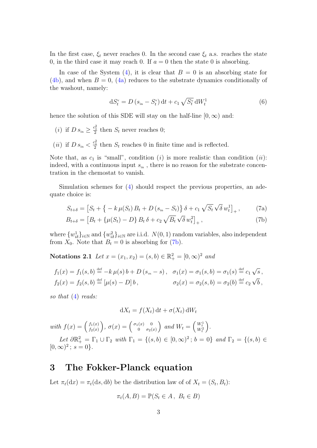In the first case,  $\xi_t$  never reaches 0. In the second case  $\xi_t$  a.s. reaches the state 0, in the third case it may reach 0. If  $a = 0$  then the state 0 is absorbing.

In case of the System [\(4\)](#page-1-1), it is clear that  $B = 0$  is an absorbing state for  $(4b)$ , and when  $B = 0$ ,  $(4a)$  reduces to the substrate dynamics conditionally of the washout, namely:

<span id="page-2-1"></span>
$$
dS_t^v = D (s_{in} - S_t^v) dt + c_1 \sqrt{S_t^v} dW_t^1
$$
 (6)

hence the solution of this SDE will stay on the half-line  $[0, \infty)$  and:

- (*i*) if  $D s_{\text{in}} \geq \frac{c_1^2}{2}$  then  $S_t$  never reaches 0;
- (*ii*) if  $D s_{\text{in}} < \frac{c_1^2}{2}$  then  $S_t$  reaches 0 in finite time and is reflected.

Note that, as  $c_1$  is "small", condition (i) is more realistic than condition (ii): indeed, with a continuous input  $s_{\rm in}$  , there is no reason for the substrate concentration in the chemostat to vanish.

Simulation schemes for [\(4\)](#page-1-1) should respect the previous properties, an adequate choice is:

$$
S_{t+\delta} = [S_t + \{-k \mu(S_t) B_t + D (s_{\rm in} - S_t) \} \delta + c_1 \sqrt{S_t} \sqrt{\delta} w_t^1]_+, \qquad (7a)
$$

$$
B_{t+\delta} = [B_t + \{\mu(S_t) - D\} B_t \,\delta + c_2 \sqrt{B_t} \sqrt{\delta} w_t^2]_+, \tag{7b}
$$

where  $\{w_{i\delta}^1\}_{i\in\mathbb{N}}$  and  $\{w_{i\delta}^2\}_{i\in\mathbb{N}}$  are i.i.d.  $N(0, 1)$  random variables, also independent from  $X_0$ . Note that  $B_t = 0$  is absorbing for [\(7b\)](#page-1-2).

Notations 2.1 Let  $x = (x_1, x_2) = (s, b) \in \mathbb{R}^2_+ = [0, \infty)^2$  and

$$
f_1(x) = f_1(s, b) \stackrel{\text{def}}{=} -k \mu(s) b + D(s_{in} - s), \quad \sigma_1(x) = \sigma_1(s, b) = \sigma_1(s) \stackrel{\text{def}}{=} c_1 \sqrt{s}, f_2(x) = f_2(s, b) \stackrel{\text{def}}{=} [\mu(s) - D] b, \qquad \sigma_2(x) = \sigma_2(s, b) = \sigma_2(b) \stackrel{\text{def}}{=} c_2 \sqrt{b},
$$

so that  $(4)$  reads:

$$
dX_t = f(X_t) dt + \sigma(X_t) dW_t
$$

with  $f(x) = \begin{pmatrix} f_1(x) \\ f_2(x) \end{pmatrix}$  $f_1(x) \brace f_2(x)$ ,  $\sigma(x) = \begin{pmatrix} \sigma_1(x) & 0 \ 0 & \sigma_2(x) \end{pmatrix}$  $\begin{pmatrix} x & 0 \\ 0 & \sigma_2(x) \end{pmatrix}$  and  $W_t = \begin{pmatrix} W_t^1 \\ W_t^2 \end{pmatrix}$ . t

Let  $\partial \mathbb{R}^2_+ = \Gamma_1 \cup \Gamma_2$  with  $\Gamma_1 = \{(s, b) \in [0, \infty)^2 \,; \, b = 0\}$  and  $\Gamma_2 = \{(s, b) \in \mathbb{R}^2 \}$  $[0, \infty)^2$ ;  $s = 0$ .

## <span id="page-2-0"></span>3 The Fokker-Planck equation

Let  $\pi_t(\mathrm{d}x) = \pi_t(\mathrm{d}s, \mathrm{d}b)$  be the distribution law of of  $X_t = (S_t, B_t)$ :

$$
\pi_t(A, B) = \mathbb{P}(S_t \in A, B_t \in B)
$$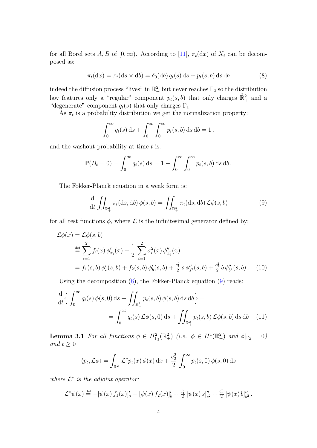for all Borel sets A, B of  $[0, \infty)$ . According to [\[11\]](#page-16-4),  $\pi_t(dx)$  of  $X_t$  can be decomposed as:

$$
\pi_t(\mathrm{d}x) = \pi_t(\mathrm{d}s \times \mathrm{d}b) = \delta_0(\mathrm{d}b) q_t(s) \,\mathrm{d}s + p_t(s, b) \,\mathrm{d}s \,\mathrm{d}b \tag{8}
$$

indeed the diffusion process "lives" in  $\mathbb{R}^2_+$  but never reaches  $\Gamma_2$  so the distribution law features only a "regular" component  $p_t(s, b)$  that only charges  $\mathbb{R}^2_+$  and a "degenerate" component  $q_t(s)$  that only charges  $\Gamma_1$ .

As  $\pi_t$  is a probability distribution we get the normalization property:

<span id="page-3-0"></span>
$$
\int_0^\infty q_t(s) \, ds + \int_0^\infty \int_0^\infty p_t(s, b) \, ds \, db = 1.
$$

and the washout probability at time  $t$  is:

$$
\mathbb{P}(B_t=0) = \int_0^\infty q_t(s) \, \mathrm{d}s = 1 - \int_0^\infty \int_0^\infty p_t(s,b) \, \mathrm{d}s \, \mathrm{d}b.
$$

The Fokker-Planck equation in a weak form is:

<span id="page-3-4"></span><span id="page-3-1"></span>
$$
\frac{\mathrm{d}}{\mathrm{d}t} \iint_{\mathbb{R}_+^2} \pi_t(\mathrm{d}s, \mathrm{d}b) \phi(s, b) = \iint_{\mathbb{R}_+^2} \pi_t(\mathrm{d}s, \mathrm{d}b) \mathcal{L}\phi(s, b) \tag{9}
$$

for all test functions  $\phi$ , where  $\mathcal L$  is the infinitesimal generator defined by:

$$
\mathcal{L}\phi(x) = \mathcal{L}\phi(s, b)
$$
  
\n
$$
\stackrel{\text{def}}{=} \sum_{i=1}^{2} f_i(x) \phi_{x_i}'(x) + \frac{1}{2} \sum_{i=1}^{2} \sigma_i^2(x) \phi_{x_i}''(x)
$$
  
\n
$$
= f_1(s, b) \phi_s'(s, b) + f_2(s, b) \phi_b'(s, b) + \frac{c_1^2}{2} s \phi_{s2}''(s, b) + \frac{c_2^2}{2} b \phi_{b2}''(s, b). \quad (10)
$$

Using the decomposition  $(8)$ , the Fokker-Planck equation  $(9)$  reads:

$$
\frac{\mathrm{d}}{\mathrm{d}t} \Biggl\{ \int_0^\infty q_t(s) \, \phi(s,0) \, \mathrm{d}s + \iint_{\mathbb{R}_+^2} p_t(s,b) \, \phi(s,b) \, \mathrm{d}s \, \mathrm{d}b \Biggr\} =
$$
\n
$$
= \int_0^\infty q_t(s) \, \mathcal{L}\phi(s,0) \, \mathrm{d}s + \iint_{\mathbb{R}_+^2} p_t(s,b) \, \mathcal{L}\phi(s,b) \, \mathrm{d}s \, \mathrm{d}b \tag{11}
$$

<span id="page-3-2"></span>**Lemma 3.1** For all functions  $\phi \in H_{\Gamma_2}^2(\mathbb{R}^2_+)$  (i.e.  $\phi \in H^1(\mathbb{R}^2_+)$  and  $\phi|_{\Gamma_2} = 0$ ) and  $t \geq 0$ 

<span id="page-3-3"></span>
$$
\langle p_t, \mathcal{L}\phi \rangle = \int_{\mathbb{R}_+^2} \mathcal{L}^* p_t(x) \, \phi(x) \, dx + \frac{c_2^2}{2} \int_0^\infty p_t(s,0) \, \phi(s,0) \, ds
$$

where  $\mathcal{L}^*$  is the adjoint operator:

$$
\mathcal{L}^*\psi(x) \stackrel{\text{def}}{=} -[\psi(x) f_1(x)]_s' - [\psi(x) f_2(x)]_b' + \frac{c_1^2}{2} [\psi(x) s]_{s^2}'' + \frac{c_2^2}{2} [\psi(x) b]_{b^2}''.
$$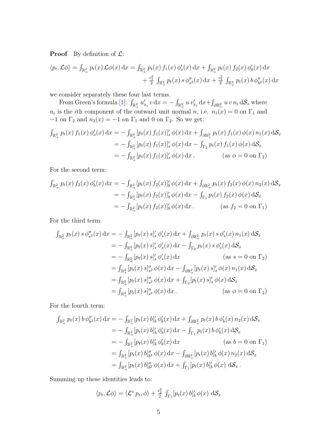**Proof** By definition of  $\mathcal{L}$ :

$$
\langle p_t, \mathcal{L}\phi \rangle = \int_{\mathbb{R}_+^2} p_t(x) \mathcal{L}\phi(x) dx = \int_{\mathbb{R}_+^2} p_t(x) f_1(x) \phi_s'(x) dx + \int_{\mathbb{R}_+^2} p_t(x) f_2(x) \phi_b'(x) dx + \frac{c_1^2}{2} \int_{\mathbb{R}_+^2} p_t(x) s \phi_s''(x) dx + \frac{c_2^2}{2} \int_{\mathbb{R}_+^2} p_t(x) b \phi_b''(x) dx
$$

we consider separately these four last terms.

From Green's formula [\[1\]](#page-16-5):  $\int_{\mathbb{R}_+^2} u'_{x_i} v \,dx = - \int_{\mathbb{R}_+^2} u v'_{x_i} dx + \int_{\partial \mathbb{R}_+^2} u v \, n_i \,d\mathcal{S}_x$  where  $n_i$  is the *i*th component of the outward unit normal n, i.e.  $n_1(x) = 0$  on  $\Gamma_1$  and  $-1$  on  $\Gamma_2$  and  $n_2(x) = -1$  on  $\Gamma_1$  and 0 on  $\Gamma_2$ . So we get:

$$
\int_{\mathbb{R}^2_+} p_t(x) f_1(x) \phi_s'(x) dx = - \int_{\mathbb{R}^2_+} [p_t(x) f_1(x)]_s' \phi(x) dx + \int_{\partial \mathbb{R}^2_+} p_t(x) f_1(x) \phi(x) n_1(x) dS_x
$$
  
\n
$$
= - \int_{\mathbb{R}^2_+} [p_t(x) f_1(x)]_s' \phi(x) dx - \int_{\Gamma_2} p_t(x) f_1(x) \phi(x) dS_x
$$
  
\n
$$
= - \int_{\mathbb{R}^2_+} [p_t(x) f_1(x)]_s' \phi(x) dx. \qquad (\text{as } \phi = 0 \text{ on } \Gamma_2)
$$

For the second term:

$$
\int_{\mathbb{R}^2_+} p_t(x) f_2(x) \phi'_b(x) dx = - \int_{\mathbb{R}^2_+} [p_t(x) f_2(x)]'_b \phi(x) dx + \int_{\partial \mathbb{R}^2_+} p_t(x) f_2(x) \phi(x) n_2(x) dS_x
$$
  
\n
$$
= - \int_{\mathbb{R}^2_+} [p_t(x) f_2(x)]'_b \phi(x) dx - \int_{\Gamma_1} p_t(x) f_2(x) \phi(x) dS_x
$$
  
\n
$$
= - \int_{\mathbb{R}^2_+} [p_t(x) f_2(x)]'_b \phi(x) dx. \qquad \text{(as } f_2 = 0 \text{ on } \Gamma_1)
$$

For the third term:

$$
\int_{\mathbb{R}^2_+} p_t(x) s \phi_{s^2}''(x) dx = - \int_{\mathbb{R}^2_+} [p_t(x) s]_s' \phi_s'(x) dx + \int_{\partial \mathbb{R}^2_+} p_t(x) s \phi_s'(x) n_1(x) dS_x
$$
  
\n
$$
= - \int_{\mathbb{R}^2_+} [p_t(x) s]_s' \phi_s'(x) dx - \int_{\Gamma_2} p_t(x) s \phi_s'(x) dS_x
$$
  
\n
$$
= - \int_{\mathbb{R}^2_+} [p_t(x) s]_s' \phi_s'(x) dx \qquad (as s = 0 \text{ on } \Gamma_2)
$$
  
\n
$$
= \int_{\mathbb{R}^2_+} [p_t(x) s]_{s^2}'' \phi(x) dx - \int_{\partial \mathbb{R}^2_+} [p_t(x) s]_s' \phi(x) n_1(x) dS_x
$$
  
\n
$$
= \int_{\mathbb{R}^2_+} [p_t(x) s]_{s^2}'' \phi(x) dx + \int_{\Gamma_2} [p_t(x) s]_s' \phi(x) dS_x
$$
  
\n
$$
= \int_{\mathbb{R}^2_+} [p_t(x) s]_{s^2}'' \phi(x) dx. \qquad (as \phi = 0 \text{ on } \Gamma_2)
$$

For the fourth term:

$$
\int_{\mathbb{R}^2_+} p_t(x) b \phi_{b2}''(x) dx = - \int_{\mathbb{R}^2_+} [p_t(x) b]_b' \phi_b'(x) dx + \int_{\partial \mathbb{R}^2_+} p_t(x) b \phi_b'(x) n_2(x) dS_x
$$
  
\n
$$
= - \int_{\mathbb{R}^2_+} [p_t(x) b]_b' \phi_b'(x) dx - \int_{\Gamma_1} p_t(x) b \phi_b'(x) dS_x
$$
  
\n
$$
= - \int_{\mathbb{R}^2_+} [p_t(x) b]_b' \phi_b'(x) dx \qquad \text{(as } b = 0 \text{ on } \Gamma_1\text{)}
$$
  
\n
$$
= \int_{\mathbb{R}^2_+} [p_t(x) b]_{b2}'' \phi(x) dx - \int_{\partial \mathbb{R}^2_+} [p_t(x) b]_b' \phi(x) n_2(x) dS_x
$$
  
\n
$$
= \int_{\mathbb{R}^2_+} [p_t(x) b]_{b2}'' \phi(x) dx + \int_{\Gamma_1} [p_t(x) b]_b' \phi(x) dS_x.
$$

Summing up these identities leads to:

$$
\langle p_t, \mathcal{L}\phi \rangle = \langle \mathcal{L}^* p_t, \phi \rangle + \frac{c_2^2}{2} \int_{\Gamma_1} [p_t(x) b]_b' \phi(x) dS_x
$$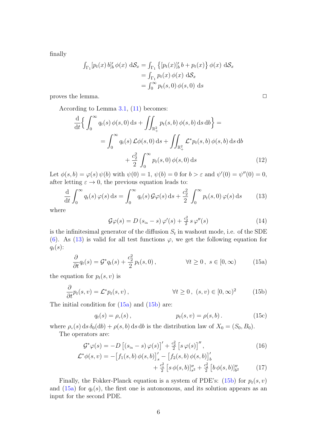finally

$$
\int_{\Gamma_1} [p_t(x) b]_b' \phi(x) dS_x = \int_{\Gamma_1} \left\{ [p_t(x)]_b' b + p_t(x) \right\} \phi(x) dS_x
$$
  
= 
$$
\int_{\Gamma_1} p_t(x) \phi(x) dS_x
$$
  
= 
$$
\int_0^\infty p_t(s, 0) \phi(s, 0) ds
$$

proves the lemma. ✷

According to Lemma [3.1,](#page-3-2) [\(11\)](#page-3-3) becomes:

$$
\frac{\mathrm{d}}{\mathrm{d}t} \Biggl\{ \int_0^\infty q_t(s) \, \phi(s,0) \, \mathrm{d}s + \iint_{\mathbb{R}_+^2} p_t(s,b) \, \phi(s,b) \, \mathrm{d}s \, \mathrm{d}b \Biggr\} =
$$
\n
$$
= \int_0^\infty q_t(s) \, \mathcal{L}\phi(s,0) \, \mathrm{d}s + \iint_{\mathbb{R}_+^2} \mathcal{L}^* p_t(s,b) \, \phi(s,b) \, \mathrm{d}s \, \mathrm{d}b + \frac{c_2^2}{2} \int_0^\infty p_t(s,0) \, \phi(s,0) \, \mathrm{d}s \tag{12}
$$

Let  $\phi(s, b) = \varphi(s) \psi(b)$  with  $\psi(0) = 1$ ,  $\psi(b) = 0$  for  $b > \varepsilon$  and  $\psi'(0) = \psi''(0) = 0$ , after letting  $\varepsilon \to 0$ , the previous equation leads to:

$$
\frac{\mathrm{d}}{\mathrm{d}t} \int_0^\infty q_t(s) \,\varphi(s) \,\mathrm{d}s = \int_0^\infty q_t(s) \,\mathcal{G}\varphi(s) \,\mathrm{d}s + \frac{c_2^2}{2} \int_0^\infty p_t(s,0) \,\varphi(s) \,\mathrm{d}s \tag{13}
$$

where

<span id="page-5-2"></span><span id="page-5-1"></span>
$$
\mathcal{G}\varphi(s) = D\left(s_{\text{in}} - s\right)\varphi'(s) + \frac{c_2^2}{2} s\,\varphi''(s) \tag{14}
$$

is the infinitesimal generator of the diffusion  $S_t$  in washout mode, i.e. of the SDE [\(6\)](#page-2-1). As [\(13\)](#page-5-0) is valid for all test functions  $\varphi$ , we get the following equation for  $q_t(s)$ :

<span id="page-5-3"></span>
$$
\frac{\partial}{\partial t}q_t(s) = \mathcal{G}^*q_t(s) + \frac{c_2^2}{2}p_t(s,0), \qquad \forall t \ge 0, \ s \in [0,\infty)
$$
 (15a)

the equation for  $p_t(s, v)$  is

$$
\frac{\partial}{\partial t}p_t(s,v) = \mathcal{L}^* p_t(s,v), \qquad \forall t \ge 0, (s,v) \in [0,\infty)^2 \qquad (15b)
$$

The initial condition for  $(15a)$  and  $(15b)$  are:

$$
q_t(s) = \rho_v(s)
$$
,  $p_t(s, v) = \rho(s, b)$ . (15c)

where  $\rho_{\rm v}(s)$  ds  $\delta_0({\rm d}b) + \rho(s, b)$  ds db is the distribution law of  $X_0 = (S_0, B_0)$ . The operators are:

$$
\mathcal{G}^*\varphi(s) = -D\left[\left(s_{\rm in} - s\right)\varphi(s)\right]' + \frac{c_2^2}{2}\left[s\,\varphi(s)\right]''\,,\tag{16}
$$

$$
\mathcal{L}^*\phi(s,v) = -\left[f_1(s,b)\,\phi(s,b)\right]_s' - \left[f_2(s,b)\,\phi(s,b)\right]_b' + \frac{c_1^2}{2}\left[s\,\phi(s,b)\right]_{s^2}'' + \frac{c_2^2}{2}\left[b\,\phi(s,b)\right]_{b^2}'' \tag{17}
$$

Finally, the Fokker-Planck equation is a system of PDE's:  $(15b)$  for  $p_t(s, v)$ and  $(15a)$  for  $q_t(s)$ , the first one is autonomous, and its solution appears as an input for the second PDE.

<span id="page-5-0"></span>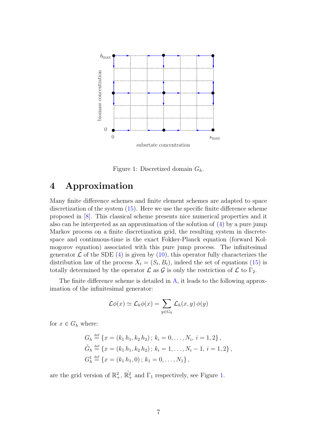

Figure 1: Discretized domain  $G_h$ .

## <span id="page-6-1"></span><span id="page-6-0"></span>4 Approximation

Many finite difference schemes and finite element schemes are adapted to space discretization of the system [\(15\)](#page-5-3). Here we use the specific finite difference scheme proposed in [\[8\]](#page-16-6). This classical scheme presents nice numerical properties and it also can be interpreted as an approximation of the solution of [\(4\)](#page-1-1) by a pure jump Markov process on a finite discretization grid, the resulting system in discretespace and continuous-time is the exact Fokker-Planck equation (forward Kolmogorov equation) associated with this pure jump process. The infinitesimal generator  $\mathcal L$  of the SDE [\(4\)](#page-1-1) is given by [\(10\)](#page-3-4), this operator fully characterizes the distribution law of the process  $X_t = (S_t, B_t)$ , indeed the set of equations [\(15\)](#page-5-3) is totally determined by the operator  $\mathcal L$  as  $\mathcal G$  is only the restriction of  $\mathcal L$  to  $\Gamma_2$ .

The finite difference scheme is detailed in [A,](#page-8-0) it leads to the following approximation of the infinitesimal generator:

$$
\mathcal{L}\phi(x) \simeq \mathcal{L}_h\phi(x) = \sum_{y \in G_h} \mathcal{L}_h(x, y) \phi(y)
$$

for  $x \in G_h$  where:

$$
G_h \stackrel{\text{def}}{=} \{x = (k_1 \, h_1, k_2 \, h_2) \, ; \, k_i = 0, \dots, N_i, \, i = 1, 2\} \, ,
$$
  
\n
$$
\mathring{G}_h \stackrel{\text{def}}{=} \{x = (k_1 \, h_1, k_2 \, h_2) \, ; \, k_i = 1, \dots, N_i - 1, \, i = 1, 2\} \, ,
$$
  
\n
$$
G_h^1 \stackrel{\text{def}}{=} \{x = (k_1 \, h_1, 0) \, ; \, k_1 = 0, \dots, N_1\} \, ,
$$

are the grid version of  $\mathbb{R}^2_+$ ,  $\mathbb{R}^2_+$  and  $\Gamma_1$  respectively, see Figure [1.](#page-6-1)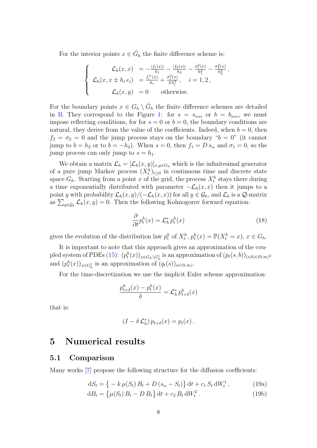For the interior points  $x \in \check{G}_h$  the finite difference scheme is:

$$
\begin{cases}\n\mathcal{L}_h(x,x) = -\frac{|f_1(x)|}{h_1} - \frac{|f_2(x)|}{h_2} - \frac{\sigma_1^2(x)}{h_1^2} - \frac{\sigma_2^2(x)}{h_2^2},\\ \n\mathcal{L}_h(x,x \pm h_i e_i) = \frac{f_i^{\pm}(x)}{h_i} + \frac{\sigma_i^2(x)}{2h_i^2}, \quad i = 1, 2,\\ \n\mathcal{L}_h(x,y) = 0 \quad \text{otherwise.}\n\end{cases}
$$

For the boundary points  $x \in G_h \setminus \overset{\circ}{G}_h$  the finite difference schemes are detailed in [B.](#page-14-0) They correspond to the Figure [1:](#page-6-1) for  $s = s_{\text{max}}$  or  $b = b_{\text{max}}$ , we must impose reflecting conditions, for for  $s = 0$  or  $b = 0$ , the boundary conditions are natural, they derive from the value of the coefficients. Indeed, when  $b = 0$ , then  $f_2 = \sigma_2 = 0$  and the jump process stays on the boundary " $b = 0$ " (it cannot jump to  $b = h_2$  or to  $b = -h_2$ ). When  $s = 0$ , then  $f_1 = D s_{in}$  and  $\sigma_1 = 0$ , so the jump process can only jump to  $s = h_1$ .

We obtain a matrix  $\mathcal{L}_h = [\mathcal{L}_h(x, y)]_{x, y \in G_h}$  which is the infinitesimal generator of a pure jump Markov process  $(X_t^h)_{t\geq 0}$  in continuous time and discrete state space  $G_h$ . Starting from a point x of the grid, the process  $X_t^h$  stays there during a time exponentially distributed with parameter  $-\mathcal{L}_h(x, x)$  then it jumps to a point y with probability  $\mathcal{L}_h(x, y)/(-\mathcal{L}_h(x, x))$  for all  $y \in \mathcal{G}_h$ , and  $\mathcal{L}_h$  is a  $\mathcal{Q}$ -matrix as  $\sum_{y \in \mathcal{G}_h} \mathcal{L}_h(x, y) = 0$ . Then the following Kolmogorov forward equation:

$$
\frac{\partial}{\partial t}p_t^h(x) = \mathcal{L}_h^* p_t^h(x) \tag{18}
$$

gives the evolution of the distribution law  $p_t^h$  of  $X_t^h$ ,  $p_t^h(x) = \mathbb{P}(X_t^h = x)$ ,  $x \in G_h$ .

It is important to note that this approach gives an approximation of the cou-pled system of PDEs [\(15\)](#page-5-3):  $(p_t^h(x))_{x \in G_h \setminus G_h^1}$  is an approximation of  $(p_t(s, b))_{(s, b) \in (0, \infty)^2}$ and  $(p_t^h(x))_{x \in G_h^1}$  is an approximation of  $(q_t(s))_{s \in (0,\infty)}$ .

For the time-discretization we use the implicit Euler scheme approximation:

$$
\frac{p_{t+\delta}^h(x) - p_t^h(x)}{\delta} = \mathcal{L}_h^* p_{t+\delta}^h(x)
$$

that is:

<span id="page-7-1"></span>
$$
(I - \delta \mathcal{L}_h^*) p_{t+\delta}(x) = p_t(x).
$$

### <span id="page-7-0"></span>5 Numerical results

#### 5.1 Comparison

Many works [\[7\]](#page-16-7) propose the following structure for the diffusion coefficients:

$$
dS_t = \left\{ -k \,\mu(S_t) \, B_t + D \left( s_{\rm in} - S_t \right) \right\} dt + c_1 \, S_t \, dW_t^1 \,, \tag{19a}
$$

$$
dB_t = \left\{ \mu(S_t) B_t - D B_t \right\} dt + c_2 B_t dW_t^2.
$$
 (19b)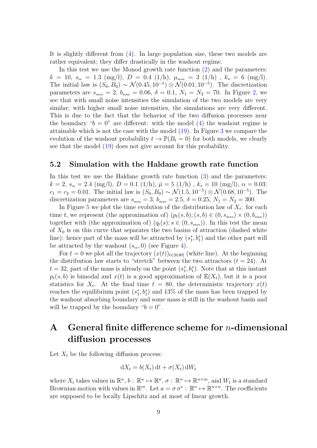It is slightly different from [\(4\)](#page-1-1). In large population size, these two models are rather equivalent; they differ drastically in the washout regime.

In this test we use the Monod growth rate function [\(2\)](#page-0-1) and the parameters:  $k\ =\ 10,\ s_{\rm in}\ =\ 1.3\ \ ({\rm mg/l}),\ D\ =\ 0.4\ \ (1/h),\ \mu_{\rm max}\ =\ 3\ \ (1/h)\ \ ,\ k_s\ =\ 6\ \ ({\rm mg/l}).$ The initial law is  $(S_0, B_0) \sim \mathcal{N}(0.45, 10^{-5}) \otimes \mathcal{N}(0.01, 10^{-5})$ . The discretization parameters are  $s_{\text{max}} = 2$ ,  $b_{\text{max}} = 0.06$ ,  $\delta = 0.1$ ,  $N_1 = N_2 = 70$ . In Figure [2,](#page-9-0) we see that with small noise intensities the simulation of the two models are very similar; with higher small noise intensities, the simulations are very different. This is due to the fact that the behavior of the two diffusion processes near the boundary " $b = 0$ " are different: with the model [\(4\)](#page-1-1) the washout regime is attainable which is not the case with the model [\(19\)](#page-7-1). In Figure [3](#page-10-0) we compare the evolution of the washout probability  $t \to \mathbb{P}(B_t = 0)$  for both models, we clearly see that the model [\(19\)](#page-7-1) does not give account for this probability.

#### 5.2 Simulation with the Haldane growth rate function

In this test we use the Haldane growth rate function  $(3)$  and the parameters:  $k = 2$ ,  $s_{\text{in}} = 2.4 \text{ (mg/l)}$ ,  $D = 0.1 \text{ (1/h)}$ ,  $\bar{\mu} = 5 \text{ (1/h)}$ ,  $k_s = 10 \text{ (mg/l)}$ ,  $\alpha = 0.03$ :  $c_1 = c_2 = 0.01$ . The initial law is  $(S_0, B_0) \sim \mathcal{N}(1.5, 10^{-5}) \otimes \mathcal{N}(0.68, 10^{-5})$ . The discretization parameters are  $s_{\text{max}} = 3$ ,  $b_{\text{max}} = 2.5$ ,  $\delta = 0.25$ ,  $N_1 = N_2 = 300$ .

In Figure [5](#page-11-0) we plot the time evolution of the distribution law of  $X_t$ : for each time t, we represent (the approximation of)  $(p_t(s, b); (s, b) \in (0, s_{\text{max}}) \times (0, b_{\text{max}}))$ together with (the approximation of)  $(q_t(s); s \in (0, s_{\text{max}}))$ . In this test the mean of  $X_0$  is on this curve that separates the two basins of attraction (dashed white line): hence part of the mass will be attracted by  $(s_1^*, b_1^*)$  and the other part will be attracted by the washout  $(s_{\rm in}, 0)$  (see Figure [4\)](#page-10-1).

For  $t = 0$  we plot all the trajectory  $(x(t))_{t \in [0,80]}$  (white line). At the beginning the distribution law starts to "stretch" between the two attractors  $(t = 24)$ . At  $t = 32$ , part of the mass is already on the point  $(s_1^*, b_1^*)$ . Note that at this instant  $p_t(s, b)$  is bimodal and  $x(t)$  is a good approximation of  $\mathbb{E}(X_t)$ , but it is a poor statistics for  $X_t$ . At the final time  $t = 80$ , the deterministic trajectory  $x(t)$ reaches the equilibrium point  $(s_1^*, b_1^*)$  and 13% of the mass has been trapped by the washout absorbing boundary and some mass is still in the washout basin and will be trapped by the boundary " $b = 0$ ".

## <span id="page-8-0"></span>A General finite difference scheme for  $n$ -dimensional diffusion processes

Let  $X_t$  be the following diffusion process:

$$
dX_t = b(X_t) dt + \sigma(X_t) dW_t
$$

where  $X_t$  takes values in  $\mathbb{R}^n$ ,  $b: \mathbb{R}^n \mapsto \mathbb{R}^n$ ,  $\sigma: \mathbb{R}^n \mapsto \mathbb{R}^{n \times m}$ , and  $W_t$  is a standard Brownian motion with values in  $\mathbb{R}^m$ . Let  $a = \sigma \sigma^* : \mathbb{R}^n \mapsto \mathbb{R}^{n \times n}$ . The coefficients are supposed to be locally Lipschitz and at most of linear growth.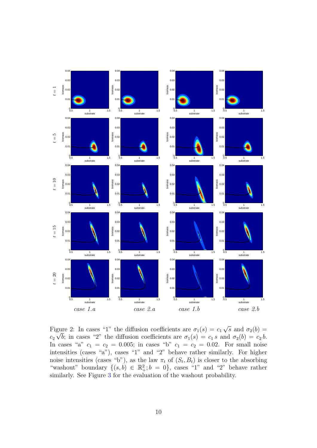

<span id="page-9-0"></span>Figure 2: In cases "1" the diffusion coefficients are  $\sigma_1(s) = c_1 \sqrt{s}$  and  $\sigma_2(b) =$  $c_2 \sqrt{b}$ ; in cases "2" the diffusion coefficients are  $\sigma_1(s) = c_1 s$  and  $\sigma_2(b) = c_2 b$ . In cases "a"  $c_1 = c_2 = 0.005$ ; in cases "b"  $c_1 = c_2 = 0.02$ . For small noise intensities (cases "a"), cases "1" and "2" behave rather similarly. For higher noise intensities (cases "b"), as the law  $\pi_t$  of  $(S_t, B_t)$  is closer to the absorbing "washout" boundary  $\{(s,b) \in \mathbb{R}^2_+; b = 0\}$ , cases "1" and "2" behave rather similarly. See Figure [3](#page-10-0) for the evaluation of the washout probability.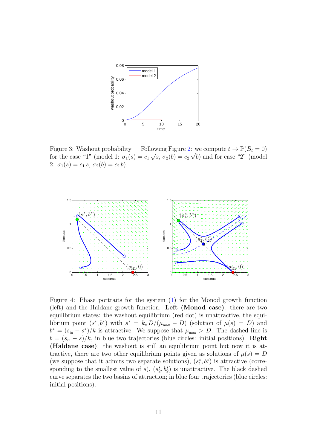

<span id="page-10-0"></span>Figure 3: Washout probability — Following Figure [2:](#page-9-0) we compute  $t \to \mathbb{P}(B_t = 0)$ for the case "1" (model 1:  $\sigma_1(s) = c_1 \sqrt{s}, \sigma_2(b) = c_2 \sqrt{b}$ ) and for case "2" (model 2:  $\sigma_1(s) = c_1 s, \sigma_2(b) = c_2 b$ .



<span id="page-10-1"></span>Figure 4: Phase portraits for the system [\(1\)](#page-0-0) for the Monod growth function (left) and the Haldane growth function. Left (Monod case): there are two equilibrium states: the washout equilibrium (red dot) is unattractive, the equilibrium point  $(s^*, b^*)$  with  $s^* = k_s D/(\mu_{\text{max}} - D)$  (solution of  $\mu(s) = D$ ) and  $b^* = (s_{\rm in} - s^*)/k$  is attractive. We suppose that  $\mu_{\rm max} > D$ . The dashed line is  $b = (s_{\rm in} - s)/k$ , in blue two trajectories (blue circles: initial positions). **Right** (Haldane case): the washout is still an equilibrium point but now it is attractive, there are two other equilibrium points given as solutions of  $\mu(s) = D$ (we suppose that it admits two separate solutions),  $(s_1^*, b_1^*)$  is attractive (corresponding to the smallest value of  $s$ ),  $(s_2^*, b_2^*)$  is unattractive. The black dashed curve separates the two basins of attraction; in blue four trajectories (blue circles: initial positions).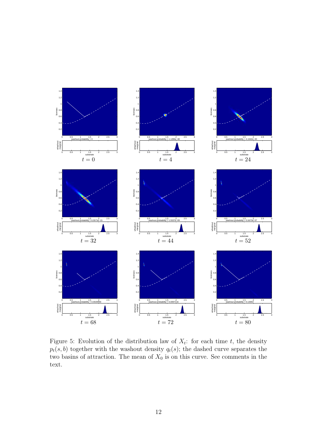

<span id="page-11-0"></span>Figure 5: Evolution of the distribution law of  $X_t$ : for each time t, the density  $p_t(s, b)$  together with the washout density  $q_t(s)$ ; the dashed curve separates the two basins of attraction. The mean of  $X_0$  is on this curve. See comments in the text.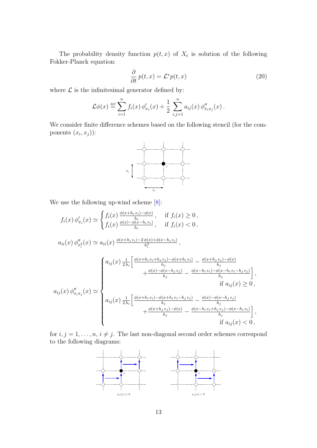The probability density function  $p(t, x)$  of  $X_t$  is solution of the following Fokker-Planck equation:

$$
\frac{\partial}{\partial t}p(t,x) = \mathcal{L}^*p(t,x) \tag{20}
$$

where  $\mathcal L$  is the infinitesimal generator defined by:

$$
\mathcal{L}\phi(x) \stackrel{\text{def}}{=} \sum_{i=1}^{n} f_i(x) \, \phi'_{x_i}(x) + \frac{1}{2} \sum_{i,j=1}^{n} a_{ij}(x) \, \phi''_{x_i x_j}(x) \, .
$$

We consider finite difference schemes based on the following stencil (for the components  $(x_i, x_j)$ :



We use the following up-wind scheme [\[8\]](#page-16-6):

$$
f_i(x) \phi'_{x_i}(x) \simeq \begin{cases} f_i(x) \frac{\phi(x+h_i e_i) - \phi(x)}{h_i}, & \text{if } f_i(x) \ge 0, \\ f_i(x) \frac{\phi(x) - \phi(x-h_i e_i)}{h_i}, & \text{if } f_i(x) < 0, \end{cases}
$$
  
\n
$$
a_{ii}(x) \phi''_{x_i^2}(x) \simeq a_{ii}(x) \frac{\phi(x+h_i e_i) - 2\phi(x) + \phi(x-h_i e_i)}{h_i^2},
$$
  
\n
$$
\begin{cases} a_{ij}(x) \frac{1}{2h_i} \left[ \frac{\phi(x+h_i e_i + h_j e_j) - \phi(x+h_i e_i)}{h_j} - \frac{\phi(x+h_j e_j) - \phi(x)}{h_j} \right], \\ \frac{\phi(x) - \phi(x-h_i e_i)}{h_j} - \frac{\phi(x-h_i e_i) - \phi(x-h_i e_i - h_j e_j)}{h_j} \right], \\ a_{ij}(x) \phi''_{x_i x_j}(x) \simeq \begin{cases} a_{ij}(x) \frac{1}{2h_i} \left[ \frac{\phi(x+h_i e_i) - \phi(x+h_i e_i - h_j e_j)}{h_j} - \frac{\phi(x) - \phi(x-h_i e_j)}{h_j} \right], \\ h_j & \text{if } a_{ij}(x) \ge 0, \\ h_j & \frac{\phi(x+h_j e_j) - \phi(x)}{h_j} - \frac{\phi(x-h_i e_i + h_j e_j) - \phi(x-h_i e_i)}{h_j} \right], \\ 0, & \text{if } a_{ij}(x) < 0, \end{cases}
$$

for  $i, j = 1, \ldots, n, i \neq j$ . The last non-diagonal second order schemes correspond to the following diagrams:

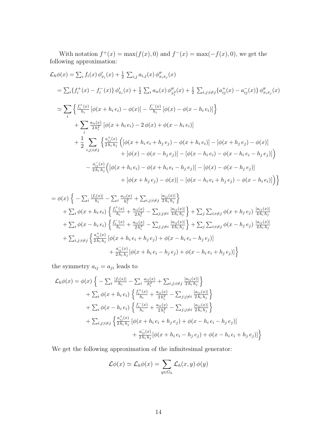With notation  $f^+(x) = \max(f(x), 0)$  and  $f^-(x) = \max(-f(x), 0)$ , we get the following approximation:

$$
\mathcal{L}_{h}\phi(x) = \sum_{i} f_{i}(x) \phi'_{x_{i}}(x) + \frac{1}{2} \sum_{i,j} a_{i,j}(x) \phi''_{x_{i}x_{j}}(x)
$$
\n
$$
= \sum_{i} \{f_{i}^{+}(x) - f_{i}^{-}(x)\} \phi'_{x_{i}}(x) + \frac{1}{2} \sum_{i} a_{ii}(x) \phi''_{x_{i}^{2}}(x) + \frac{1}{2} \sum_{i,j;i \neq j} \{a_{ij}^{+}(x) - a_{ij}^{-}(x)\} \phi''_{x_{i}x_{j}}(x)
$$
\n
$$
\simeq \sum_{i} \left\{ \frac{f_{i}^{+}(x)}{h_{i}} \left[ \phi(x + h_{i} e_{i}) - \phi(x) \right] - \frac{f_{i}^{-}(x)}{h_{i}} \left[ \phi(x) - \phi(x - h_{i} e_{i}) \right] \right\}
$$
\n
$$
+ \sum_{i} \frac{a_{i,i}(x)}{2h_{i}^{2}} \left[ \phi(x + h_{i} e_{i}) - 2 \phi(x) + \phi(x - h_{i} e_{i}) \right]
$$
\n
$$
+ \frac{1}{2} \sum_{i,j;i \neq j} \left\{ \frac{a_{ij}^{+}(x)}{2h_{i}h_{j}} \left( \left[ \phi(x + h_{i} e_{i} + h_{j} e_{j}) - \phi(x + h_{i} e_{i}) \right] - \left[ \phi(x + h_{j} e_{j}) - \phi(x) \right] \right.\right.
$$
\n
$$
+ \left[ \phi(x) - \phi(x - h_{j} e_{j}) \right] - \left[ \phi(x - h_{i} e_{i}) - \phi(x - h_{i} e_{i} - h_{j} e_{j}) \right] \right)
$$
\n
$$
- \frac{a_{ij}(x)}{2h_{i}h_{j}} \left( \left[ \phi(x + h_{i} e_{i}) - \phi(x + h_{i} e_{i} - h_{j} e_{j}) \right] - \left[ \phi(x) - \phi(x - h_{j} e_{j}) \right] \right.
$$
\n
$$
+ \left[ \phi(x + h_{j} e_{j}) - \phi(x) \right] - \left[ \phi(x - h_{i} e_{i} + h_{j} e_{j}) - \phi(x - h_{i} e_{i}) \right] \right
$$

$$
= \phi(x) \left\{ -\sum_{i} \frac{|f_i(x)|}{h_i} - \sum_{i} \frac{a_{ii}(x)}{h_i^2} + \sum_{i,j;i\neq j} \frac{|a_{ij}(x)|}{2h_i h_j} \right\} + \sum_{i} \phi(x + h_i e_i) \left\{ \frac{f_i^+(x)}{h_i} + \frac{a_{ii}(x)}{2h_i^2} - \sum_{j;j\neq i} \frac{|a_{ij}(x)|}{4h_i h_j} \right\} + \sum_{j} \sum_{i;i\neq j} \phi(x + h_j e_j) \frac{|a_{ij}(x)|}{4h_i h_j} + \sum_{i} \phi(x - h_i e_i) \left\{ \frac{f_i^-(x)}{h_i} + \frac{a_{ii}(x)}{2h_i^2} - \sum_{j;j\neq i} \frac{|a_{ij}(x)|}{4h_i h_j} \right\} + \sum_{j} \sum_{i;i\neq j} \phi(x - h_j e_j) \frac{|a_{ij}(x)|}{4h_i h_j} + \sum_{i,j;i\neq j} \left\{ \frac{a_{ij}^+(x)}{2h_i h_j} \left[ \phi(x + h_i e_i + h_j e_j) + \phi(x - h_i e_i - h_j e_j) \right] \right. + \frac{a_{ij}^-(x)}{2h_i h_j} \left[ \phi(x + h_i e_i - h_j e_j) + \phi(x - h_i e_i + h_j e_j) \right] \right\}
$$

the symmetry  $a_{ij} = a_{ji}$  leads to

$$
\mathcal{L}_{h}\phi(x) = \phi(x)\left\{-\sum_{i}\frac{|f_{i}(x)|}{h_{i}} - \sum_{i}\frac{a_{ii}(x)}{h_{i}^{2}} + \sum_{i,j;i\neq j}\frac{|a_{ij}(x)|}{2h_{i}h_{j}}\right\} \n+ \sum_{i}\phi(x+h_{i}e_{i})\left\{\frac{f_{i}^{+}(x)}{h_{i}} + \frac{a_{ii}(x)}{2h_{i}^{2}} - \sum_{j;j\neq i}\frac{|a_{ij}(x)|}{2h_{i}h_{j}}\right\} \n+ \sum_{i}\phi(x-h_{i}e_{i})\left\{\frac{f_{i}^{-}(x)}{h_{i}} + \frac{a_{ii}(x)}{2h_{i}^{2}} - \sum_{j;j\neq i}\frac{|a_{ij}(x)|}{2h_{i}h_{j}}\right\} \n+ \sum_{i,j;i\neq j}\left\{\frac{a_{ij}^{+}(x)}{2h_{i}h_{j}}\left[\phi(x+h_{i}e_{i}+h_{j}e_{j}) + \phi(x-h_{i}e_{i}-h_{j}e_{j})\right] \n+ \frac{a_{ij}^{-}(x)}{2h_{i}h_{j}}\left[\phi(x+h_{i}e_{i}-h_{j}e_{j}) + \phi(x-h_{i}e_{i}+h_{j}e_{j})\right]\right\}
$$

We get the following approximation of the infinitesimal generator:

$$
\mathcal{L}\phi(x) \simeq \mathcal{L}_h\phi(x) = \sum_{y \in G_h} \mathcal{L}_h(x, y) \phi(y)
$$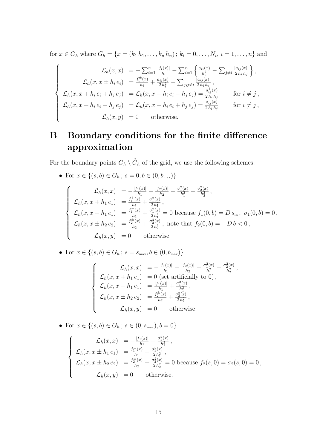for  $x \in G_h$  where  $G_h = \{x = (k_1 h_1, \dots, k_n h_n) ; k_i = 0, \dots, N_i, i = 1, \dots, n\}$  and

$$
\begin{cases}\n\mathcal{L}_h(x,x) = -\sum_{i=1}^n \frac{|f_i(x)|}{h_i} - \sum_{i=1}^n \left\{ \frac{a_{ii}(x)}{h_i^2} - \sum_{j \neq i} \frac{|a_{ij}(x)|}{2h_i h_j} \right\}, \\
\mathcal{L}_h(x, x \pm h_i e_i) = \frac{f_i^{\pm}(x)}{h_i} + \frac{a_{ii}(x)}{2h_i^2} - \sum_{j;j \neq i} \frac{|a_{ij}(x)|}{2h_i h_j}, \\
\mathcal{L}_h(x, x + h_i e_i + h_j e_j) = \mathcal{L}_h(x, x - h_i e_i - h_j e_j) = \frac{a_{ij}^{\pm}(x)}{2h_i h_j} \quad \text{for } i \neq j, \\
\mathcal{L}_h(x, x + h_i e_i - h_j e_j) = \mathcal{L}_h(x, x - h_i e_i + h_j e_j) = \frac{a_{ij}(x)}{2h_i h_j} \quad \text{for } i \neq j, \\
\mathcal{L}_h(x, y) = 0 \quad \text{otherwise.}\n\end{cases}
$$

# <span id="page-14-0"></span>B Boundary conditions for the finite difference approximation

For the boundary points  $G_h \setminus \overset{\circ}{G}_h$  of the grid, we use the following schemes:

• For  $x \in \{(s, b) \in G_h; s = 0, b \in (0, b_{\max})\}$ 

$$
\begin{cases}\n\mathcal{L}_h(x,x) = -\frac{|f_1(x)|}{h_1} - \frac{|f_2(x)|}{h_2} - \frac{\sigma_1^2(x)}{h_1^2} - \frac{\sigma_2^2(x)}{h_2^2}, \\
\mathcal{L}_h(x,x+h_1e_1) = \frac{f_1^+(x)}{h_1} + \frac{\sigma_1^2(x)}{2h_1^2}, \\
\mathcal{L}_h(x,x-h_1e_1) = \frac{f_1^-(x)}{h_1} + \frac{\sigma_1^2(x)}{2h_1^2} = 0 \text{ because } f_1(0,b) = D s_{\text{in}}, \ \sigma_1(0,b) = 0, \\
\mathcal{L}_h(x,x \pm h_2e_2) = \frac{f_2^+(x)}{h_2} + \frac{\sigma_2^2(x)}{2h_2^2}, \text{ note that } f_2(0,b) = -Db < 0, \\
\mathcal{L}_h(x,y) = 0 \text{ otherwise.}\n\end{cases}
$$

• For 
$$
x \in \{(s, b) \in G_h; s = s_{\max}, b \in (0, b_{\max})\}
$$

$$
\begin{cases}\n\mathcal{L}_h(x,x) = -\frac{|f_1(x)|}{h_1} - \frac{|f_2(x)|}{h_2} - \frac{\sigma_1^2(x)}{h_1^2} - \frac{\sigma_2^2(x)}{h_2^2}, \\
\mathcal{L}_h(x,x+h_1e_1) = 0 \text{ (set artificially to 0)}, \\
\mathcal{L}_h(x,x-h_1e_1) = \frac{|f_1(x)|}{h_1} + \frac{\sigma_1^2(x)}{h_1^2}, \\
\mathcal{L}_h(x,x \pm h_2e_2) = \frac{f_2^{\pm}(x)}{h_2} + \frac{\sigma_2^2(x)}{2h_2^2}, \\
\mathcal{L}_h(x,y) = 0 \text{ otherwise.} \n\end{cases}
$$

• For  $x \in \{(s, b) \in G_h; s \in (0, s_{\max}), b = 0\}$ 

$$
\begin{cases}\n\mathcal{L}_h(x,x) = -\frac{|f_1(x)|}{h_1} - \frac{\sigma_1^2(x)}{h_1^2}, \\
\mathcal{L}_h(x,x \pm h_1 e_1) = \frac{f_1^{\pm}(x)}{h_1} + \frac{\sigma_1^2(x)}{2h_1^2}, \\
\mathcal{L}_h(x,x \pm h_2 e_2) = \frac{f_2^{\pm}(x)}{h_2} + \frac{\sigma_2^2(x)}{2h_2^2} = 0 \text{ because } f_2(s,0) = \sigma_2(s,0) = 0, \\
\mathcal{L}_h(x,y) = 0 \quad \text{otherwise.}\n\end{cases}
$$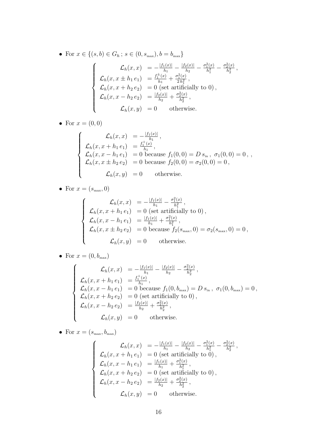• For 
$$
x \in \{(s, b) \in G_h; s \in (0, s_{\max}), b = b_{\max}\}\
$$
  
\n
$$
\mathcal{L}_h(x, x) = -\frac{|f_1(x)|}{h_1} - \frac{|f_2(x)|}{h_2} - \frac{\sigma_1^2(x)}{h_1^2} - \frac{\sigma_2^2(x)}{h_2^2},
$$
\n
$$
\mathcal{L}_h(x, x \pm h_1 e_1) = \frac{f_1^{\pm}(x)}{h_1} + \frac{\sigma_1^2(x)}{2h_1^2},
$$
\n
$$
\mathcal{L}_h(x, x + h_2 e_2) = 0 \text{ (set artificially to 0)},
$$
\n
$$
\mathcal{L}_h(x, x - h_2 e_2) = \frac{|f_2(x)|}{h_2} + \frac{\sigma_2^2(x)}{h_2^2},
$$
\n
$$
\mathcal{L}_h(x, y) = 0 \text{ otherwise.}
$$

• For  $x=(0,0)$ 

$$
\begin{cases}\n\mathcal{L}_h(x,x) = -\frac{|f_1(x)|}{h_1}, \\
\mathcal{L}_h(x,x+h_1e_1) = \frac{f_1^+(x)}{h_1}, \\
\mathcal{L}_h(x,x-h_1e_1) = 0 \text{ because } f_1(0,0) = D s_{\text{in}}, \ \sigma_1(0,0) = 0, \\
\mathcal{L}_h(x,x \pm h_2e_2) = 0 \text{ because } f_2(0,0) = \sigma_2(0,0) = 0, \\
\mathcal{L}_h(x,y) = 0 \text{ otherwise.} \n\end{cases}
$$

• For  $x = (s_{\text{max}}, 0)$ 

$$
\begin{cases}\n\mathcal{L}_h(x,x) = -\frac{|f_1(x)|}{h_1} - \frac{\sigma_1^2(x)}{h_1^2},\\ \n\mathcal{L}_h(x,x+h_1e_1) = 0 \text{ (set artificially to 0)},\\ \n\mathcal{L}_h(x,x-h_1e_1) = \frac{|f_1(x)|}{h_1} + \frac{\sigma_1^2(x)}{h_1^2},\\ \n\mathcal{L}_h(x,x \pm h_2e_2) = 0 \text{ because } f_2(s_{\text{max}}, 0) = \sigma_2(s_{\text{max}}, 0) = 0,\\ \n\mathcal{L}_h(x,y) = 0 \text{ otherwise.}\n\end{cases}
$$

• For  $x = (0, b_{\text{max}})$ 

$$
\begin{cases}\n\mathcal{L}_h(x,x) = -\frac{|f_1(x)|}{h_1} - \frac{|f_2(x)|}{h_2} - \frac{\sigma_2^2(x)}{h_2^2}, \\
\mathcal{L}_h(x,x+h_1e_1) = \frac{f_1^+(x)}{h_1}, \\
\mathcal{L}_h(x,x-h_1e_1) = 0 \text{ because } f_1(0,b_{\max}) = D s_{\text{in}}, \ \sigma_1(0,b_{\max}) = 0, \\
\mathcal{L}_h(x,x+h_2e_2) = 0 \text{ (set artificially to 0)}, \\
\mathcal{L}_h(x,x-h_2e_2) = \frac{|f_2(x)|}{h_2} + \frac{\sigma_2^2(x)}{h_2^2}, \\
\mathcal{L}_h(x,y) = 0 \text{ otherwise.}\n\end{cases}
$$

• For  $x = (s_{\text{max}}, b_{\text{max}})$ 

$$
\begin{cases}\n\mathcal{L}_h(x,x) = -\frac{|f_1(x)|}{h_1} - \frac{|f_2(x)|}{h_2} - \frac{\sigma_1^2(x)}{h_2^2} - \frac{\sigma_2^2(x)}{h_2^2}, \\
\mathcal{L}_h(x,x+h_1e_1) = 0 \text{ (set artificially to 0)}, \\
\mathcal{L}_h(x,x-h_1e_1) = \frac{|f_1(x)|}{h_1} + \frac{\sigma_1^2(x)}{h_2^2}, \\
\mathcal{L}_h(x,x+h_2e_2) = 0 \text{ (set artificially to 0)}, \\
\mathcal{L}_h(x,x-h_2e_2) = \frac{|f_2(x)|}{h_2} + \frac{\sigma_2^2(x)}{h_2^2}, \\
\mathcal{L}_h(x,y) = 0 \text{ otherwise.}\n\end{cases}
$$